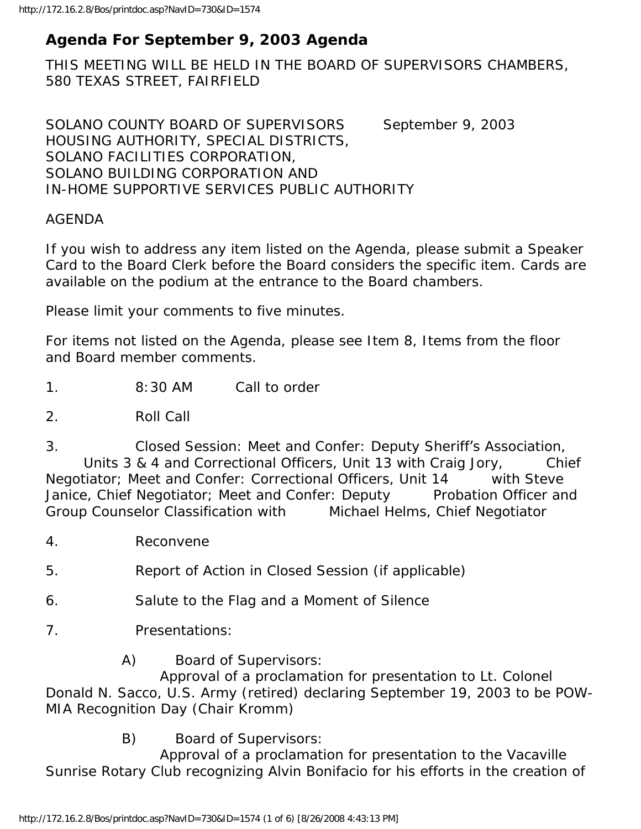# **Agenda For September 9, 2003 Agenda**

THIS MEETING WILL BE HELD IN THE BOARD OF SUPERVISORS CHAMBERS, 580 TEXAS STREET, FAIRFIELD

SOLANO COUNTY BOARD OF SUPERVISORS September 9, 2003 HOUSING AUTHORITY, SPECIAL DISTRICTS, SOLANO FACILITIES CORPORATION, SOLANO BUILDING CORPORATION AND IN-HOME SUPPORTIVE SERVICES PUBLIC AUTHORITY

#### AGENDA

If you wish to address any item listed on the Agenda, please submit a Speaker Card to the Board Clerk before the Board considers the specific item. Cards are available on the podium at the entrance to the Board chambers.

Please limit your comments to five minutes.

For items not listed on the Agenda, please see Item 8, Items from the floor and Board member comments.

1. 8:30 AM Call to order

2. Roll Call

3. Closed Session: Meet and Confer: Deputy Sheriff's Association, Units 3 & 4 and Correctional Officers, Unit 13 with Craig Jory, Chief Negotiator; Meet and Confer: Correctional Officers, Unit 14 with Steve Janice, Chief Negotiator; Meet and Confer: Deputy Probation Officer and Group Counselor Classification with Michael Helms, Chief Negotiator

- 4. Reconvene
- 5. Report of Action in Closed Session (if applicable)
- 6. Salute to the Flag and a Moment of Silence
- 7. Presentations:
	- A) Board of Supervisors:

 Approval of a proclamation for presentation to Lt. Colonel Donald N. Sacco, U.S. Army (retired) declaring September 19, 2003 to be POW-MIA Recognition Day (Chair Kromm)

B) Board of Supervisors:

 Approval of a proclamation for presentation to the Vacaville Sunrise Rotary Club recognizing Alvin Bonifacio for his efforts in the creation of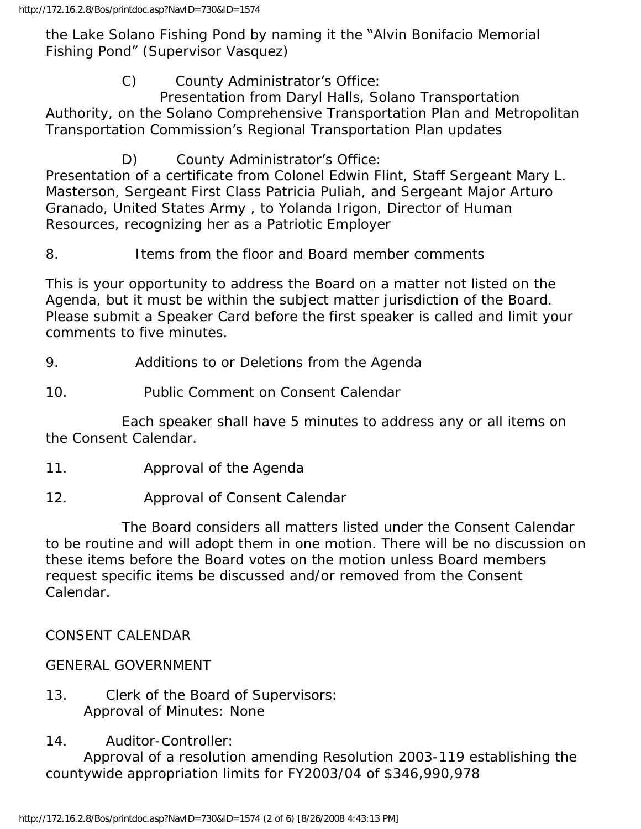the Lake Solano Fishing Pond by naming it the "Alvin Bonifacio Memorial Fishing Pond" (Supervisor Vasquez)

C) County Administrator's Office:

 Presentation from Daryl Halls, Solano Transportation Authority, on the Solano Comprehensive Transportation Plan and Metropolitan Transportation Commission's Regional Transportation Plan updates

D) County Administrator's Office:

Presentation of a certificate from Colonel Edwin Flint, Staff Sergeant Mary L. Masterson, Sergeant First Class Patricia Puliah, and Sergeant Major Arturo Granado, United States Army , to Yolanda Irigon, Director of Human Resources, recognizing her as a Patriotic Employer

## 8. Items from the floor and Board member comments

This is your opportunity to address the Board on a matter not listed on the Agenda, but it must be within the subject matter jurisdiction of the Board. Please submit a Speaker Card before the first speaker is called and limit your comments to five minutes.

## 9. Additions to or Deletions from the Agenda

10. Public Comment on Consent Calendar

 Each speaker shall have 5 minutes to address any or all items on the Consent Calendar.

- 11. Approval of the Agenda
- 12. Approval of Consent Calendar

 The Board considers all matters listed under the Consent Calendar to be routine and will adopt them in one motion. There will be no discussion on these items before the Board votes on the motion unless Board members request specific items be discussed and/or removed from the Consent Calendar.

CONSENT CALENDAR

## GENERAL GOVERNMENT

- 13. Clerk of the Board of Supervisors: Approval of Minutes: None
- 14. Auditor-Controller:

 Approval of a resolution amending Resolution 2003-119 establishing the countywide appropriation limits for FY2003/04 of \$346,990,978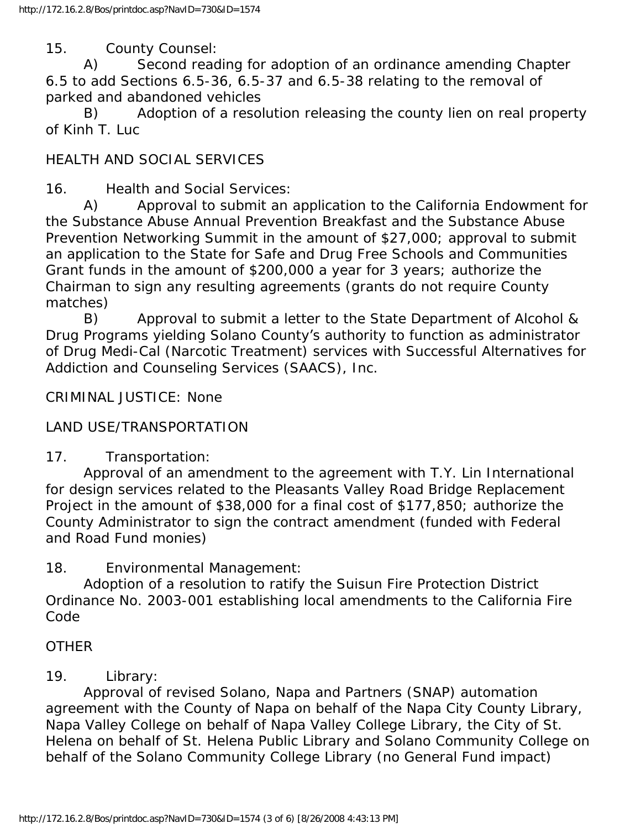15. County Counsel:

 A) Second reading for adoption of an ordinance amending Chapter 6.5 to add Sections 6.5-36, 6.5-37 and 6.5-38 relating to the removal of parked and abandoned vehicles

 B) Adoption of a resolution releasing the county lien on real property of Kinh T. Luc

## HEALTH AND SOCIAL SERVICES

16. Health and Social Services:

 A) Approval to submit an application to the California Endowment for the Substance Abuse Annual Prevention Breakfast and the Substance Abuse Prevention Networking Summit in the amount of \$27,000; approval to submit an application to the State for Safe and Drug Free Schools and Communities Grant funds in the amount of \$200,000 a year for 3 years; authorize the Chairman to sign any resulting agreements (grants do not require County matches)

 B) Approval to submit a letter to the State Department of Alcohol & Drug Programs yielding Solano County's authority to function as administrator of Drug Medi-Cal (Narcotic Treatment) services with Successful Alternatives for Addiction and Counseling Services (SAACS), Inc.

CRIMINAL JUSTICE: None

#### LAND USE/TRANSPORTATION

17. Transportation:

 Approval of an amendment to the agreement with T.Y. Lin International for design services related to the Pleasants Valley Road Bridge Replacement Project in the amount of \$38,000 for a final cost of \$177,850; authorize the County Administrator to sign the contract amendment (funded with Federal and Road Fund monies)

18. Environmental Management:

 Adoption of a resolution to ratify the Suisun Fire Protection District Ordinance No. 2003-001 establishing local amendments to the California Fire Code

#### **OTHER**

#### 19. Library:

 Approval of revised Solano, Napa and Partners (SNAP) automation agreement with the County of Napa on behalf of the Napa City County Library, Napa Valley College on behalf of Napa Valley College Library, the City of St. Helena on behalf of St. Helena Public Library and Solano Community College on behalf of the Solano Community College Library (no General Fund impact)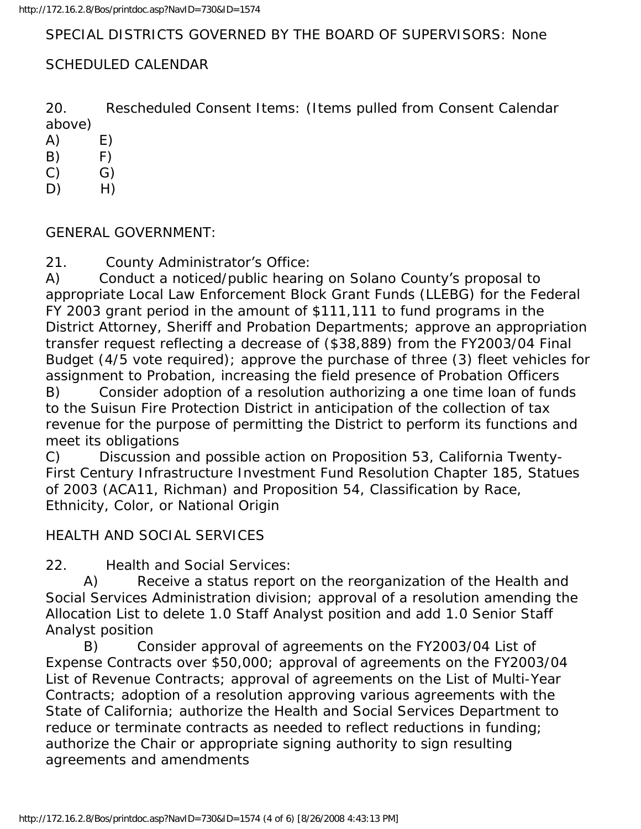# SPECIAL DISTRICTS GOVERNED BY THE BOARD OF SUPERVISORS: None

# SCHEDULED CALENDAR

20. Rescheduled Consent Items: (Items pulled from Consent Calendar above)

 $(A)$   $E)$ 

- $(B)$  F)
- $(C)$   $(G)$
- D) H)

GENERAL GOVERNMENT:

21. County Administrator's Office:

A) Conduct a noticed/public hearing on Solano County's proposal to appropriate Local Law Enforcement Block Grant Funds (LLEBG) for the Federal FY 2003 grant period in the amount of \$111,111 to fund programs in the District Attorney, Sheriff and Probation Departments; approve an appropriation transfer request reflecting a decrease of (\$38,889) from the FY2003/04 Final Budget (4/5 vote required); approve the purchase of three (3) fleet vehicles for assignment to Probation, increasing the field presence of Probation Officers B) Consider adoption of a resolution authorizing a one time loan of funds to the Suisun Fire Protection District in anticipation of the collection of tax revenue for the purpose of permitting the District to perform its functions and meet its obligations

C) Discussion and possible action on Proposition 53, California Twenty-First Century Infrastructure Investment Fund Resolution Chapter 185, Statues of 2003 (ACA11, Richman) and Proposition 54, Classification by Race, Ethnicity, Color, or National Origin

## HEALTH AND SOCIAL SERVICES

22. Health and Social Services:

 A) Receive a status report on the reorganization of the Health and Social Services Administration division; approval of a resolution amending the Allocation List to delete 1.0 Staff Analyst position and add 1.0 Senior Staff Analyst position

 B) Consider approval of agreements on the FY2003/04 List of Expense Contracts over \$50,000; approval of agreements on the FY2003/04 List of Revenue Contracts; approval of agreements on the List of Multi-Year Contracts; adoption of a resolution approving various agreements with the State of California; authorize the Health and Social Services Department to reduce or terminate contracts as needed to reflect reductions in funding; authorize the Chair or appropriate signing authority to sign resulting agreements and amendments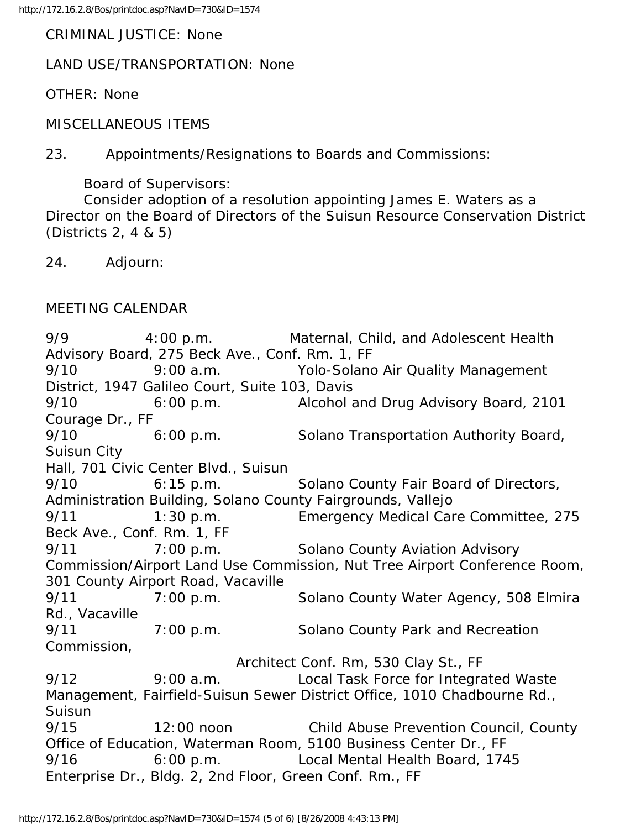CRIMINAL JUSTICE: None

LAND USE/TRANSPORTATION: None

OTHER: None

MISCELLANEOUS ITEMS

23. Appointments/Resignations to Boards and Commissions:

Board of Supervisors:

 Consider adoption of a resolution appointing James E. Waters as a Director on the Board of Directors of the Suisun Resource Conservation District (Districts 2, 4 & 5)

24. Adjourn:

#### MEETING CALENDAR

9/9 4:00 p.m. Maternal, Child, and Adolescent Health Advisory Board, 275 Beck Ave., Conf. Rm. 1, FF 9/10 9:00 a.m. Yolo-Solano Air Quality Management District, 1947 Galileo Court, Suite 103, Davis 9/10 6:00 p.m. Alcohol and Drug Advisory Board, 2101 Courage Dr., FF 9/10 6:00 p.m. Solano Transportation Authority Board, Suisun City Hall, 701 Civic Center Blvd., Suisun 9/10 6:15 p.m. Solano County Fair Board of Directors, Administration Building, Solano County Fairgrounds, Vallejo 9/11 1:30 p.m. Emergency Medical Care Committee, 275 Beck Ave., Conf. Rm. 1, FF 9/11 7:00 p.m. Solano County Aviation Advisory Commission/Airport Land Use Commission, Nut Tree Airport Conference Room, 301 County Airport Road, Vacaville 9/11 7:00 p.m. Solano County Water Agency, 508 Elmira Rd., Vacaville 9/11 7:00 p.m. Solano County Park and Recreation Commission, Architect Conf. Rm, 530 Clay St., FF 9/12 9:00 a.m. Local Task Force for Integrated Waste Management, Fairfield-Suisun Sewer District Office, 1010 Chadbourne Rd., Suisun 9/15 12:00 noon Child Abuse Prevention Council, County Office of Education, Waterman Room, 5100 Business Center Dr., FF 9/16 6:00 p.m. Local Mental Health Board, 1745 Enterprise Dr., Bldg. 2, 2nd Floor, Green Conf. Rm., FF